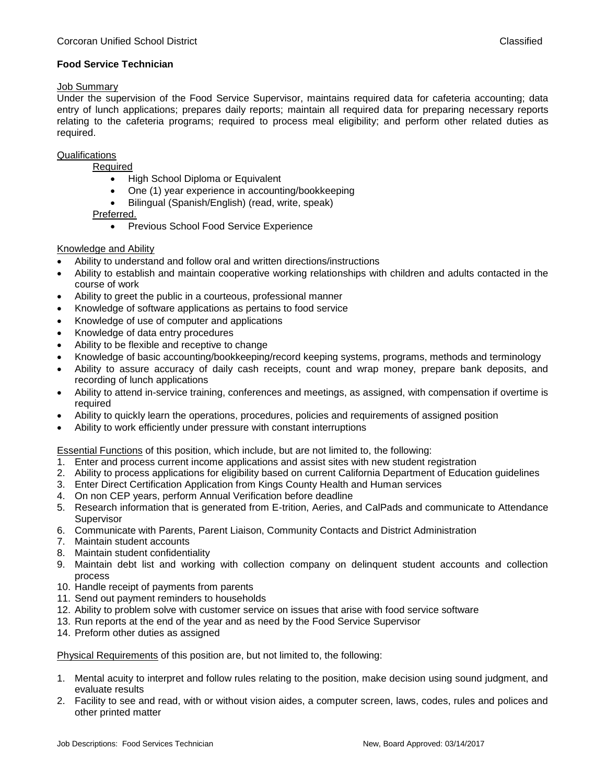# **Food Service Technician**

#### Job Summary

Under the supervision of the Food Service Supervisor, maintains required data for cafeteria accounting; data entry of lunch applications; prepares daily reports; maintain all required data for preparing necessary reports relating to the cafeteria programs; required to process meal eligibility; and perform other related duties as required.

## **Qualifications**

Required

- High School Diploma or Equivalent
- One (1) year experience in accounting/bookkeeping
- Bilingual (Spanish/English) (read, write, speak)

Preferred.

**•** Previous School Food Service Experience

## Knowledge and Ability

- Ability to understand and follow oral and written directions/instructions
- Ability to establish and maintain cooperative working relationships with children and adults contacted in the course of work
- Ability to greet the public in a courteous, professional manner
- Knowledge of software applications as pertains to food service
- Knowledge of use of computer and applications
- Knowledge of data entry procedures
- Ability to be flexible and receptive to change
- Knowledge of basic accounting/bookkeeping/record keeping systems, programs, methods and terminology
- Ability to assure accuracy of daily cash receipts, count and wrap money, prepare bank deposits, and recording of lunch applications
- Ability to attend in-service training, conferences and meetings, as assigned, with compensation if overtime is required
- Ability to quickly learn the operations, procedures, policies and requirements of assigned position
- Ability to work efficiently under pressure with constant interruptions

Essential Functions of this position, which include, but are not limited to, the following:

- 1. Enter and process current income applications and assist sites with new student registration
- 2. Ability to process applications for eligibility based on current California Department of Education guidelines
- 3. Enter Direct Certification Application from Kings County Health and Human services
- 4. On non CEP years, perform Annual Verification before deadline
- 5. Research information that is generated from E-trition, Aeries, and CalPads and communicate to Attendance Supervisor
- 6. Communicate with Parents, Parent Liaison, Community Contacts and District Administration
- 7. Maintain student accounts
- 8. Maintain student confidentiality
- 9. Maintain debt list and working with collection company on delinquent student accounts and collection process
- 10. Handle receipt of payments from parents
- 11. Send out payment reminders to households
- 12. Ability to problem solve with customer service on issues that arise with food service software
- 13. Run reports at the end of the year and as need by the Food Service Supervisor
- 14. Preform other duties as assigned

Physical Requirements of this position are, but not limited to, the following:

- 1. Mental acuity to interpret and follow rules relating to the position, make decision using sound judgment, and evaluate results
- 2. Facility to see and read, with or without vision aides, a computer screen, laws, codes, rules and polices and other printed matter